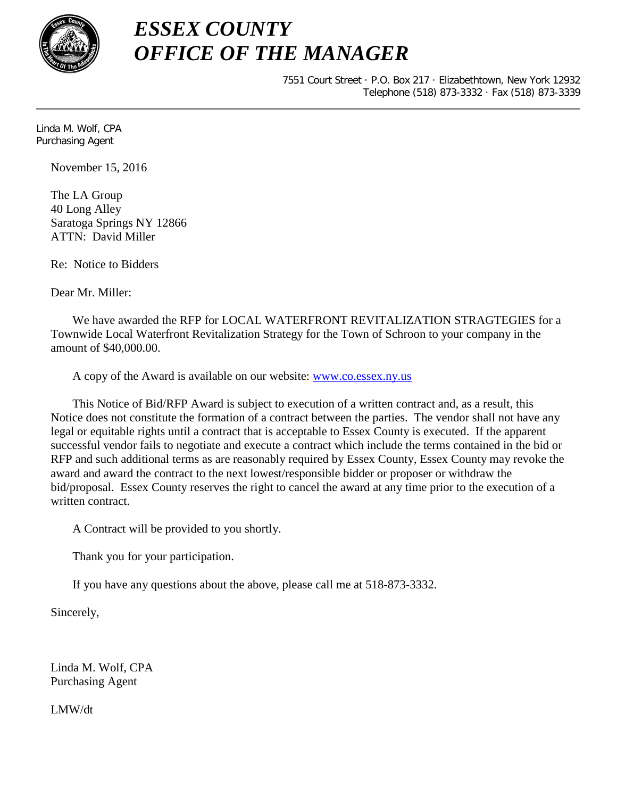

## *ESSEX COUNTY OFFICE OF THE MANAGER*

7551 Court Street · P.O. Box 217 · Elizabethtown, New York 12932 Telephone (518) 873-3332 · Fax (518) 873-3339

Linda M. Wolf, CPA Purchasing Agent

November 15, 2016

The LA Group 40 Long Alley Saratoga Springs NY 12866 ATTN: David Miller

Re: Notice to Bidders

Dear Mr. Miller:

We have awarded the RFP for LOCAL WATERFRONT REVITALIZATION STRAGTEGIES for a Townwide Local Waterfront Revitalization Strategy for the Town of Schroon to your company in the amount of \$40,000.00.

A copy of the Award is available on our website: [www.co.essex.ny.us](http://www.co.essex.ny.us/)

This Notice of Bid/RFP Award is subject to execution of a written contract and, as a result, this Notice does not constitute the formation of a contract between the parties. The vendor shall not have any legal or equitable rights until a contract that is acceptable to Essex County is executed. If the apparent successful vendor fails to negotiate and execute a contract which include the terms contained in the bid or RFP and such additional terms as are reasonably required by Essex County, Essex County may revoke the award and award the contract to the next lowest/responsible bidder or proposer or withdraw the bid/proposal. Essex County reserves the right to cancel the award at any time prior to the execution of a written contract.

A Contract will be provided to you shortly.

Thank you for your participation.

If you have any questions about the above, please call me at 518-873-3332.

Sincerely,

Linda M. Wolf, CPA Purchasing Agent

LMW/dt